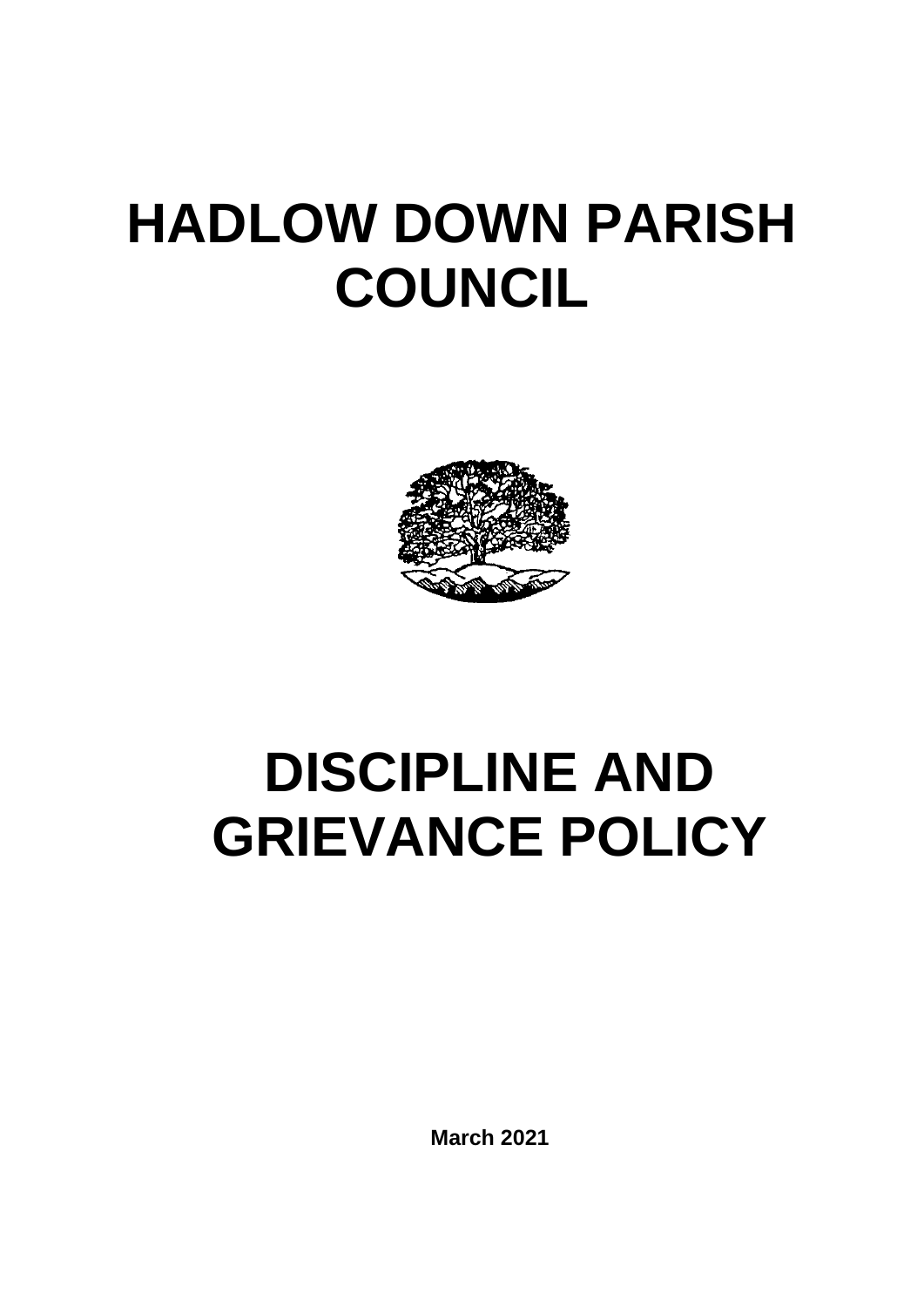# **HADLOW DOWN PARISH COUNCIL**



# **DISCIPLINE AND GRIEVANCE POLICY**

**March 2021**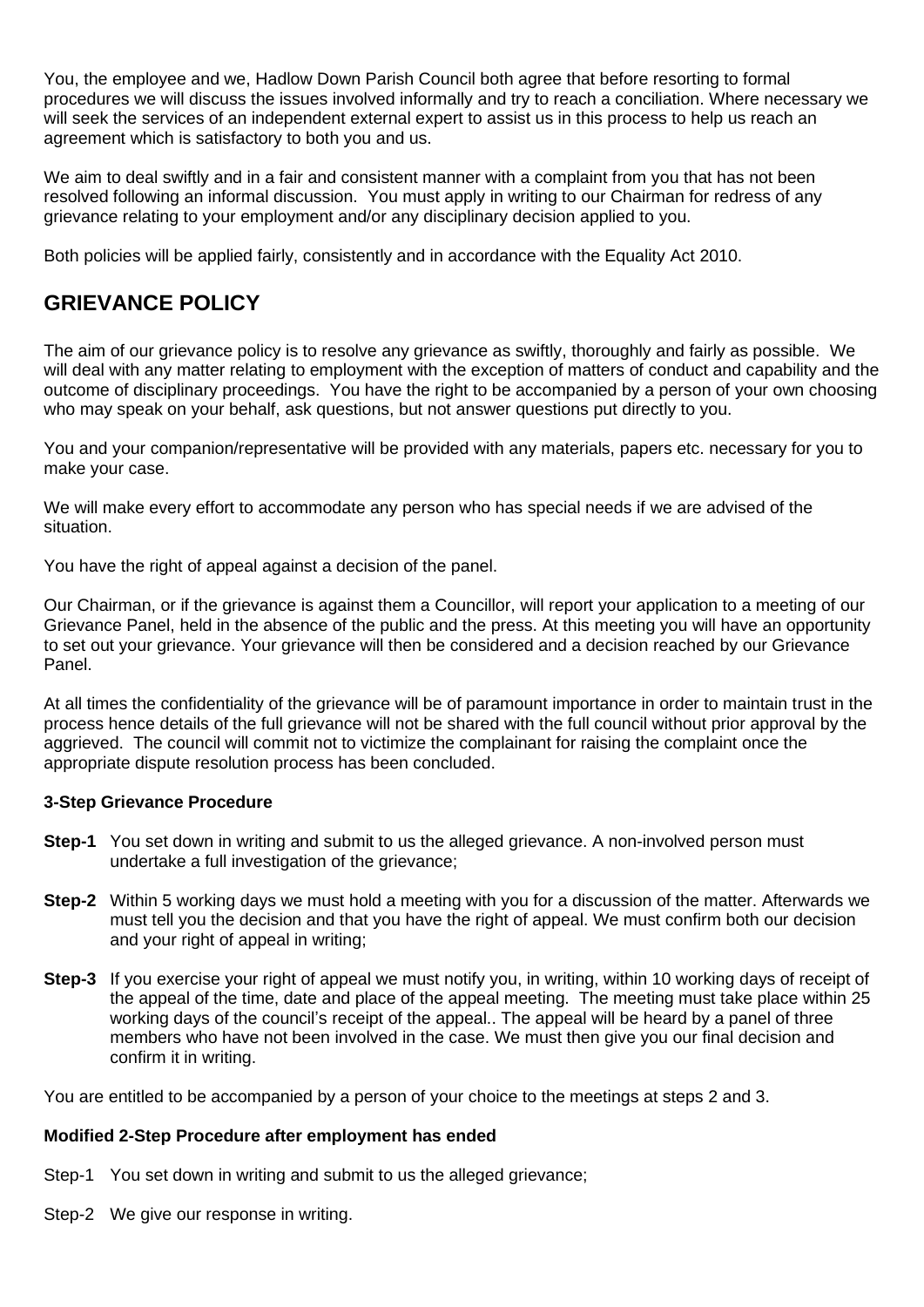You, the employee and we, Hadlow Down Parish Council both agree that before resorting to formal procedures we will discuss the issues involved informally and try to reach a conciliation. Where necessary we will seek the services of an independent external expert to assist us in this process to help us reach an agreement which is satisfactory to both you and us.

We aim to deal swiftly and in a fair and consistent manner with a complaint from you that has not been resolved following an informal discussion. You must apply in writing to our Chairman for redress of any grievance relating to your employment and/or any disciplinary decision applied to you.

Both policies will be applied fairly, consistently and in accordance with the Equality Act 2010.

## **GRIEVANCE POLICY**

The aim of our grievance policy is to resolve any grievance as swiftly, thoroughly and fairly as possible. We will deal with any matter relating to employment with the exception of matters of conduct and capability and the outcome of disciplinary proceedings. You have the right to be accompanied by a person of your own choosing who may speak on your behalf, ask questions, but not answer questions put directly to you.

You and your companion/representative will be provided with any materials, papers etc. necessary for you to make your case.

We will make every effort to accommodate any person who has special needs if we are advised of the situation.

You have the right of appeal against a decision of the panel.

Our Chairman, or if the grievance is against them a Councillor, will report your application to a meeting of our Grievance Panel, held in the absence of the public and the press. At this meeting you will have an opportunity to set out your grievance. Your grievance will then be considered and a decision reached by our Grievance Panel.

At all times the confidentiality of the grievance will be of paramount importance in order to maintain trust in the process hence details of the full grievance will not be shared with the full council without prior approval by the aggrieved. The council will commit not to victimize the complainant for raising the complaint once the appropriate dispute resolution process has been concluded.

### **3-Step Grievance Procedure**

- **Step-1** You set down in writing and submit to us the alleged grievance. A non-involved person must undertake a full investigation of the grievance;
- **Step-2** Within 5 working days we must hold a meeting with you for a discussion of the matter. Afterwards we must tell you the decision and that you have the right of appeal. We must confirm both our decision and your right of appeal in writing;
- **Step-3** If you exercise your right of appeal we must notify you, in writing, within 10 working days of receipt of the appeal of the time, date and place of the appeal meeting. The meeting must take place within 25 working days of the council's receipt of the appeal.. The appeal will be heard by a panel of three members who have not been involved in the case. We must then give you our final decision and confirm it in writing.

You are entitled to be accompanied by a person of your choice to the meetings at steps 2 and 3.

### **Modified 2-Step Procedure after employment has ended**

- Step-1 You set down in writing and submit to us the alleged grievance;
- Step-2 We give our response in writing.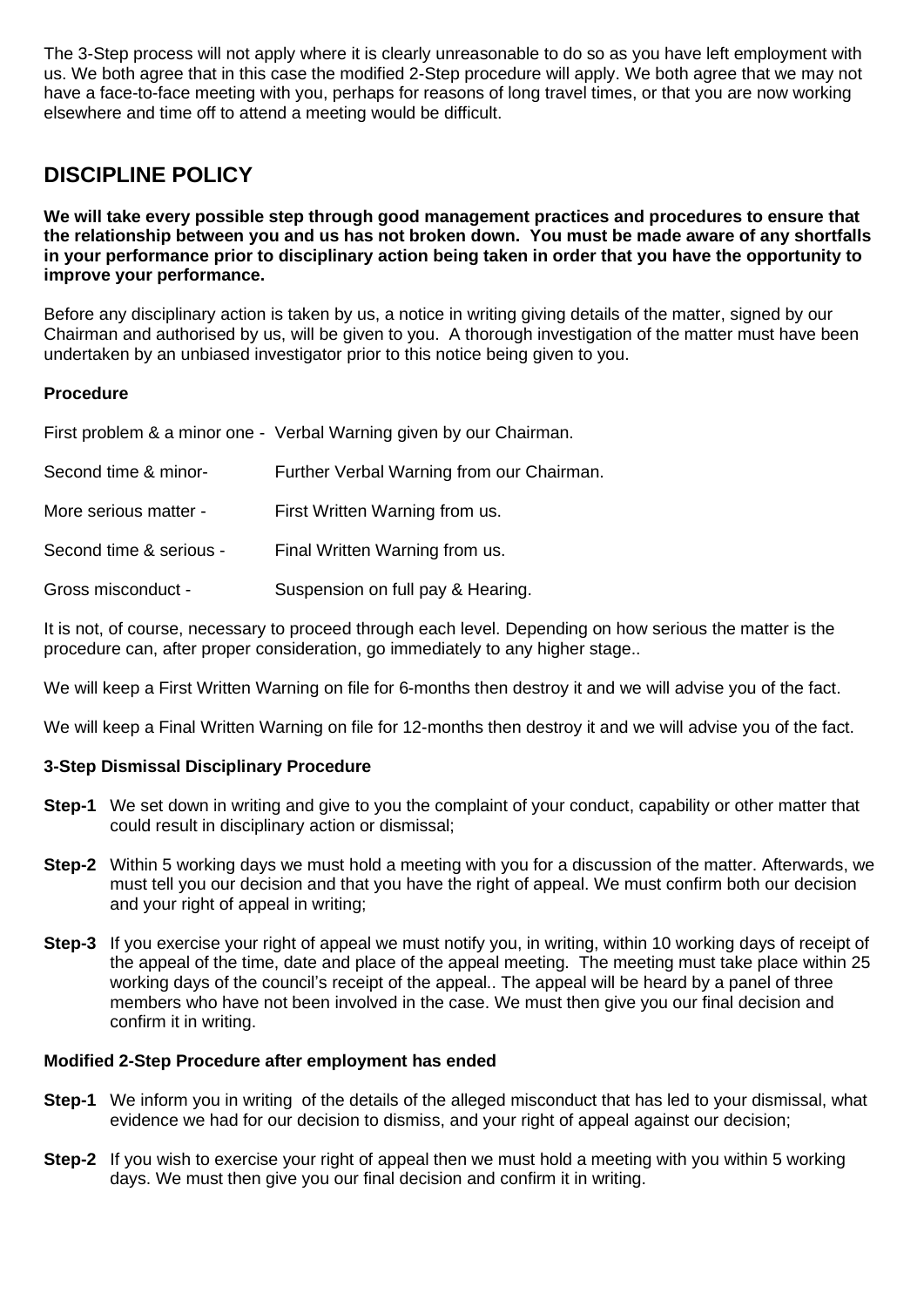The 3-Step process will not apply where it is clearly unreasonable to do so as you have left employment with us. We both agree that in this case the modified 2-Step procedure will apply. We both agree that we may not have a face-to-face meeting with you, perhaps for reasons of long travel times, or that you are now working elsewhere and time off to attend a meeting would be difficult.

## **DISCIPLINE POLICY**

**We will take every possible step through good management practices and procedures to ensure that the relationship between you and us has not broken down. You must be made aware of any shortfalls in your performance prior to disciplinary action being taken in order that you have the opportunity to improve your performance.**

Before any disciplinary action is taken by us, a notice in writing giving details of the matter, signed by our Chairman and authorised by us, will be given to you. A thorough investigation of the matter must have been undertaken by an unbiased investigator prior to this notice being given to you.

## **Procedure**

|                         | First problem & a minor one - Verbal Warning given by our Chairman. |
|-------------------------|---------------------------------------------------------------------|
| Second time & minor-    | Further Verbal Warning from our Chairman.                           |
| More serious matter -   | First Written Warning from us.                                      |
| Second time & serious - | Final Written Warning from us.                                      |
| Gross misconduct -      | Suspension on full pay & Hearing.                                   |

It is not, of course, necessary to proceed through each level. Depending on how serious the matter is the procedure can, after proper consideration, go immediately to any higher stage..

We will keep a First Written Warning on file for 6-months then destroy it and we will advise you of the fact.

We will keep a Final Written Warning on file for 12-months then destroy it and we will advise you of the fact.

## **3-Step Dismissal Disciplinary Procedure**

- **Step-1** We set down in writing and give to you the complaint of your conduct, capability or other matter that could result in disciplinary action or dismissal;
- **Step-2** Within 5 working days we must hold a meeting with you for a discussion of the matter. Afterwards, we must tell you our decision and that you have the right of appeal. We must confirm both our decision and your right of appeal in writing;
- **Step-3** If you exercise your right of appeal we must notify you, in writing, within 10 working days of receipt of the appeal of the time, date and place of the appeal meeting. The meeting must take place within 25 working days of the council's receipt of the appeal.. The appeal will be heard by a panel of three members who have not been involved in the case. We must then give you our final decision and confirm it in writing.

### **Modified 2-Step Procedure after employment has ended**

- **Step-1** We inform you in writing of the details of the alleged misconduct that has led to your dismissal, what evidence we had for our decision to dismiss, and your right of appeal against our decision;
- **Step-2** If you wish to exercise your right of appeal then we must hold a meeting with you within 5 working days. We must then give you our final decision and confirm it in writing.